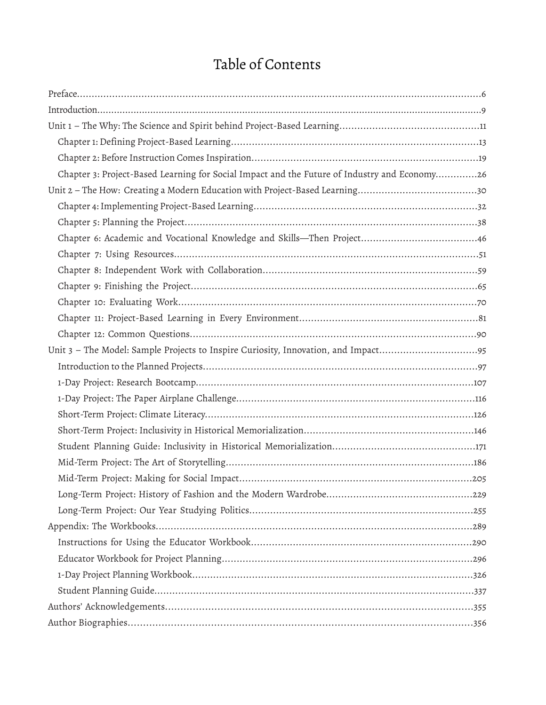# Table of Contents

| Chapter 3: Project-Based Learning for Social Impact and the Future of Industry and Economy26 |
|----------------------------------------------------------------------------------------------|
|                                                                                              |
|                                                                                              |
|                                                                                              |
|                                                                                              |
|                                                                                              |
|                                                                                              |
|                                                                                              |
|                                                                                              |
|                                                                                              |
|                                                                                              |
|                                                                                              |
|                                                                                              |
|                                                                                              |
|                                                                                              |
|                                                                                              |
|                                                                                              |
|                                                                                              |
|                                                                                              |
|                                                                                              |
|                                                                                              |
|                                                                                              |
|                                                                                              |
|                                                                                              |
|                                                                                              |
|                                                                                              |
|                                                                                              |
|                                                                                              |
|                                                                                              |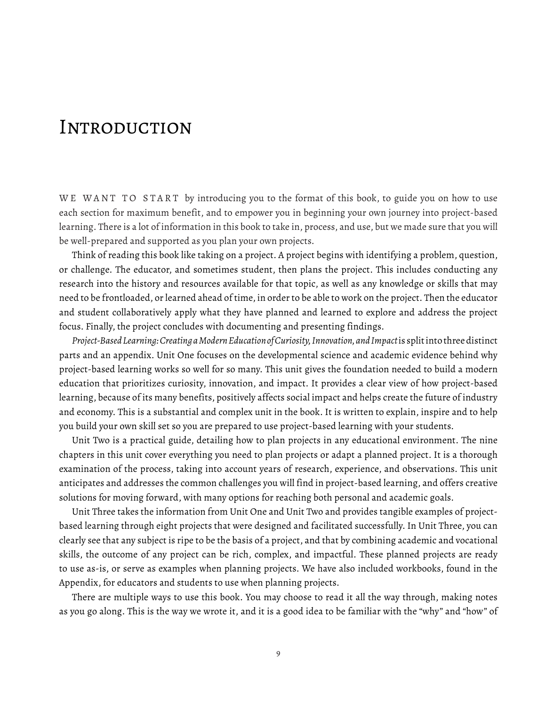# **INTRODUCTION**

WE WANT TO START by introducing you to the format of this book, to guide you on how to use each section for maximum benefit, and to empower you in beginning your own journey into project-based learning. There is a lot of information in this book to take in, process, and use, but we made sure that you will be well-prepared and supported as you plan your own projects.

Think of reading this book like taking on a project. A project begins with identifying a problem, question, or challenge. The educator, and sometimes student, then plans the project. This includes conducting any research into the history and resources available for that topic, as well as any knowledge or skills that may need to be frontloaded, or learned ahead of time, in order to be able to work on the project. Then the educator and student collaboratively apply what they have planned and learned to explore and address the project focus. Finally, the project concludes with documenting and presenting findings.

Project-Based Learning: Creating a Modern Education of Curiosity, Innovation, and Impact is split into three distinct parts and an appendix. Unit One focuses on the developmental science and academic evidence behind why project-based learning works so well for so many. This unit gives the foundation needed to build a modern education that prioritizes curiosity, innovation, and impact. It provides a clear view of how project-based learning, because of its many benefits, positively affects social impact and helps create the future of industry and economy. This is a substantial and complex unit in the book. It is written to explain, inspire and to help you build your own skill set so you are prepared to use project-based learning with your students.

Unit Two is a practical guide, detailing how to plan projects in any educational environment. The nine chapters in this unit cover everything you need to plan projects or adapt a planned project. It is a thorough examination of the process, taking into account years of research, experience, and observations. This unit anticipates and addresses the common challenges you will find in project-based learning, and offers creative solutions for moving forward, with many options for reaching both personal and academic goals.

Unit Three takes the information from Unit One and Unit Two and provides tangible examples of projectbased learning through eight projects that were designed and facilitated successfully. In Unit Three, you can clearly see that any subject is ripe to be the basis of a project, and that by combining academic and vocational skills, the outcome of any project can be rich, complex, and impactful. These planned projects are ready to use as-is, or serve as examples when planning projects. We have also included workbooks, found in the Appendix, for educators and students to use when planning projects.

There are multiple ways to use this book. You may choose to read it all the way through, making notes as you go along. This is the way we wrote it, and it is a good idea to be familiar with the "why" and "how" of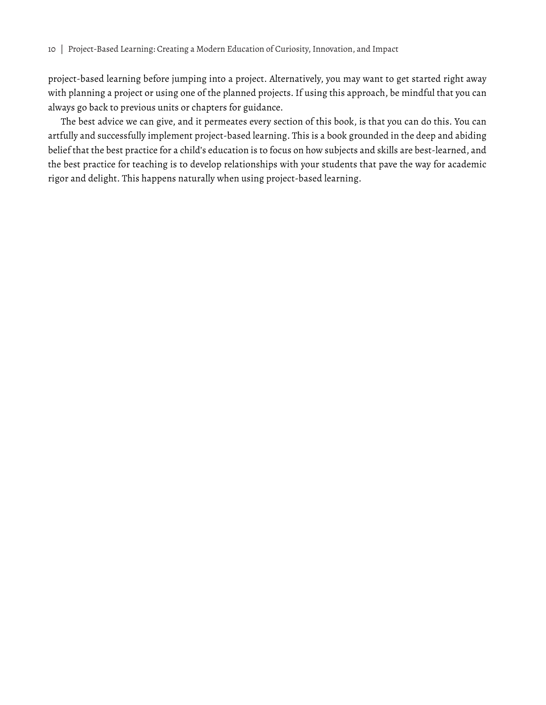project-based learning before jumping into a project. Alternatively, you may want to get started right away with planning a project or using one of the planned projects. If using this approach, be mindful that you can always go back to previous units or chapters for guidance.

The best advice we can give, and it permeates every section of this book, is that you can do this. You can artfully and successfully implement project-based learning. This is a book grounded in the deep and abiding belief that the best practice for a child's education is to focus on how subjects and skills are best-learned, and the best practice for teaching is to develop relationships with your students that pave the way for academic rigor and delight. This happens naturally when using project-based learning.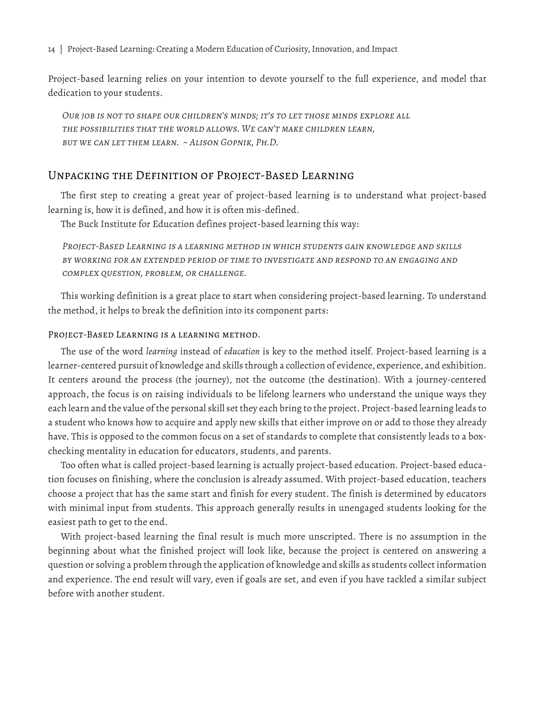14 | Project-Based Learning: Creating a Modern Education of Curiosity, Innovation, and Impact

Project-based learning relies on your intention to devote yourself to the full experience, and model that dedication to your students.

*Our job is not to shape our children's minds; it's to let those minds explore all the possibilities that the world allows. We can't make children learn, but we can let them learn. ~ Alison Gopnik, Ph.D.*

# Unpacking the Definition of Project-Based Learning

The first step to creating a great year of project-based learning is to understand what project-based learning is, how it is defined, and how it is often mis-defined.

The Buck Institute for Education defines project-based learning this way:

*Project-Based Learning is a learning method in which students gain knowledge and skills by working for an extended period of time to investigate and respond to an engaging and complex question, problem, or challenge.*

This working definition is a great place to start when considering project-based learning. To understand the method, it helps to break the definition into its component parts:

#### Project-Based Learning is a learning method.

The use of the word *learning* instead of *education* is key to the method itself. Project-based learning is a learner-centered pursuit of knowledge and skills through a collection of evidence, experience, and exhibition. It centers around the process (the journey), not the outcome (the destination). With a journey-centered approach, the focus is on raising individuals to be lifelong learners who understand the unique ways they each learn and the value of the personal skill set they each bring to the project. Project-based learning leads to a student who knows how to acquire and apply new skills that either improve on or add to those they already have. This is opposed to the common focus on a set of standards to complete that consistently leads to a boxchecking mentality in education for educators, students, and parents.

Too often what is called project-based learning is actually project-based education. Project-based education focuses on finishing, where the conclusion is already assumed. With project-based education, teachers choose a project that has the same start and finish for every student. The finish is determined by educators with minimal input from students. This approach generally results in unengaged students looking for the easiest path to get to the end.

With project-based learning the final result is much more unscripted. There is no assumption in the beginning about what the finished project will look like, because the project is centered on answering a question or solving a problem through the application of knowledge and skills as students collect information and experience. The end result will vary, even if goals are set, and even if you have tackled a similar subject before with another student.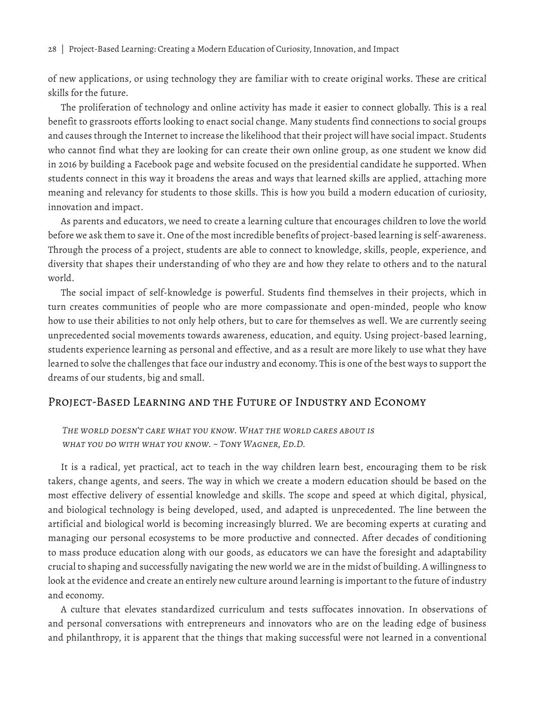28 | Project-Based Learning: Creating a Modern Education of Curiosity, Innovation, and Impact

of new applications, or using technology they are familiar with to create original works. These are critical skills for the future.

The proliferation of technology and online activity has made it easier to connect globally. This is a real benefit to grassroots efforts looking to enact social change. Many students find connections to social groups and causes through the Internet to increase the likelihood that their project will have social impact. Students who cannot find what they are looking for can create their own online group, as one student we know did in 2016 by building a Facebook page and website focused on the presidential candidate he supported. When students connect in this way it broadens the areas and ways that learned skills are applied, attaching more meaning and relevancy for students to those skills. This is how you build a modern education of curiosity, innovation and impact.

As parents and educators, we need to create a learning culture that encourages children to love the world before we ask them to save it. One of the most incredible benefits of project-based learning is self-awareness. Through the process of a project, students are able to connect to knowledge, skills, people, experience, and diversity that shapes their understanding of who they are and how they relate to others and to the natural world.

The social impact of self-knowledge is powerful. Students find themselves in their projects, which in turn creates communities of people who are more compassionate and open-minded, people who know how to use their abilities to not only help others, but to care for themselves as well. We are currently seeing unprecedented social movements towards awareness, education, and equity. Using project-based learning, students experience learning as personal and effective, and as a result are more likely to use what they have learned to solve the challenges that face our industry and economy. This is one of the best ways to support the dreams of our students, big and small.

# Project-Based Learning and the Future of Industry and Economy

*The world doesn't care what you know. What the world cares about is what you do with what you know. ~ Tony Wagner, Ed.D.*

It is a radical, yet practical, act to teach in the way children learn best, encouraging them to be risk takers, change agents, and seers. The way in which we create a modern education should be based on the most effective delivery of essential knowledge and skills. The scope and speed at which digital, physical, and biological technology is being developed, used, and adapted is unprecedented. The line between the artificial and biological world is becoming increasingly blurred. We are becoming experts at curating and managing our personal ecosystems to be more productive and connected. After decades of conditioning to mass produce education along with our goods, as educators we can have the foresight and adaptability crucial to shaping and successfully navigating the new world we are in the midst of building. A willingness to look at the evidence and create an entirely new culture around learning is important to the future of industry and economy.

A culture that elevates standardized curriculum and tests suffocates innovation. In observations of and personal conversations with entrepreneurs and innovators who are on the leading edge of business and philanthropy, it is apparent that the things that making successful were not learned in a conventional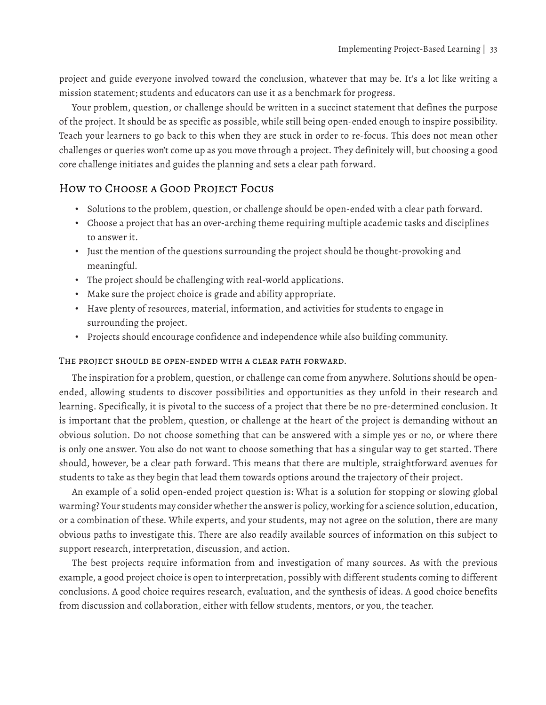project and guide everyone involved toward the conclusion, whatever that may be. It's a lot like writing a mission statement; students and educators can use it as a benchmark for progress.

Your problem, question, or challenge should be written in a succinct statement that defines the purpose of the project. It should be as specific as possible, while still being open-ended enough to inspire possibility. Teach your learners to go back to this when they are stuck in order to re-focus. This does not mean other challenges or queries won't come up as you move through a project. They definitely will, but choosing a good core challenge initiates and guides the planning and sets a clear path forward.

# How to Choose a Good Project Focus

- Solutions to the problem, question, or challenge should be open-ended with a clear path forward.
- Choose a project that has an over-arching theme requiring multiple academic tasks and disciplines to answer it.
- Just the mention of the questions surrounding the project should be thought-provoking and meaningful.
- The project should be challenging with real-world applications.
- Make sure the project choice is grade and ability appropriate.
- Have plenty of resources, material, information, and activities for students to engage in surrounding the project.
- Projects should encourage confidence and independence while also building community.

#### The project should be open-ended with a clear path forward.

The inspiration for a problem, question, or challenge can come from anywhere. Solutions should be openended, allowing students to discover possibilities and opportunities as they unfold in their research and learning. Specifically, it is pivotal to the success of a project that there be no pre-determined conclusion. It is important that the problem, question, or challenge at the heart of the project is demanding without an obvious solution. Do not choose something that can be answered with a simple yes or no, or where there is only one answer. You also do not want to choose something that has a singular way to get started. There should, however, be a clear path forward. This means that there are multiple, straightforward avenues for students to take as they begin that lead them towards options around the trajectory of their project.

An example of a solid open-ended project question is: What is a solution for stopping or slowing global warming? Your students may consider whether the answer is policy, working for a science solution, education, or a combination of these. While experts, and your students, may not agree on the solution, there are many obvious paths to investigate this. There are also readily available sources of information on this subject to support research, interpretation, discussion, and action.

The best projects require information from and investigation of many sources. As with the previous example, a good project choice is open to interpretation, possibly with different students coming to different conclusions. A good choice requires research, evaluation, and the synthesis of ideas. A good choice benefits from discussion and collaboration, either with fellow students, mentors, or you, the teacher.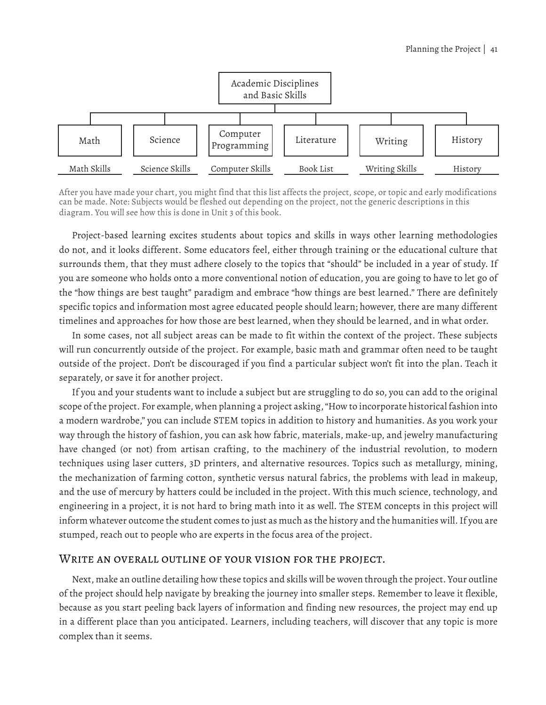

After you have made your chart, you might find that this list affects the project, scope, or topic and early modifications can be made. Note: Subjects would be fleshed out depending on the project, not the generic descriptions in this diagram. You will see how this is done in Unit 3 of this book.

Project-based learning excites students about topics and skills in ways other learning methodologies do not, and it looks different. Some educators feel, either through training or the educational culture that surrounds them, that they must adhere closely to the topics that "should" be included in a year of study. If you are someone who holds onto a more conventional notion of education, you are going to have to let go of the "how things are best taught" paradigm and embrace "how things are best learned." There are definitely specific topics and information most agree educated people should learn; however, there are many different timelines and approaches for how those are best learned, when they should be learned, and in what order.

In some cases, not all subject areas can be made to fit within the context of the project. These subjects will run concurrently outside of the project. For example, basic math and grammar often need to be taught outside of the project. Don't be discouraged if you find a particular subject won't fit into the plan. Teach it separately, or save it for another project.

If you and your students want to include a subject but are struggling to do so, you can add to the original scope of the project. For example, when planning a project asking, "How to incorporate historical fashion into a modern wardrobe," you can include STEM topics in addition to history and humanities. As you work your way through the history of fashion, you can ask how fabric, materials, make-up, and jewelry manufacturing have changed (or not) from artisan crafting, to the machinery of the industrial revolution, to modern techniques using laser cutters, 3D printers, and alternative resources. Topics such as metallurgy, mining, the mechanization of farming cotton, synthetic versus natural fabrics, the problems with lead in makeup, and the use of mercury by hatters could be included in the project. With this much science, technology, and engineering in a project, it is not hard to bring math into it as well. The STEM concepts in this project will inform whatever outcome the student comes to just as much as the history and the humanities will. If you are stumped, reach out to people who are experts in the focus area of the project.

#### WRITE AN OVERALL OUTLINE OF YOUR VISION FOR THE PROJECT.

Next, make an outline detailing how these topics and skills will be woven through the project. Your outline of the project should help navigate by breaking the journey into smaller steps. Remember to leave it flexible, because as you start peeling back layers of information and finding new resources, the project may end up in a different place than you anticipated. Learners, including teachers, will discover that any topic is more complex than it seems.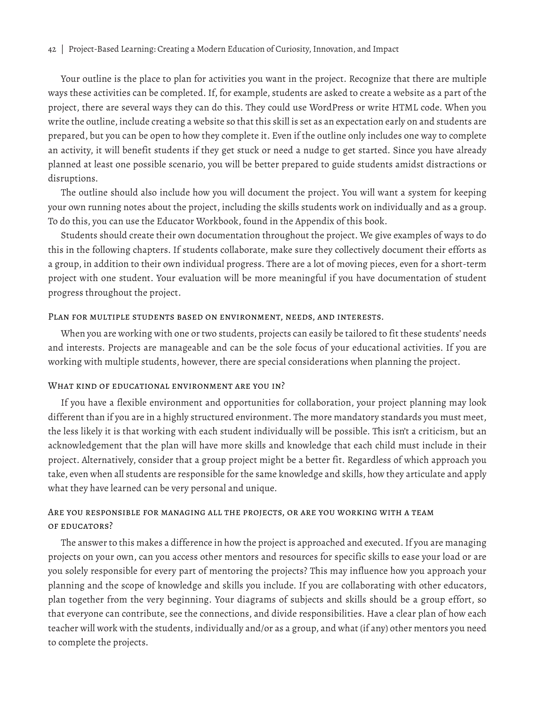Your outline is the place to plan for activities you want in the project. Recognize that there are multiple ways these activities can be completed. If, for example, students are asked to create a website as a part of the project, there are several ways they can do this. They could use WordPress or write HTML code. When you write the outline, include creating a website so that this skill is set as an expectation early on and students are prepared, but you can be open to how they complete it. Even if the outline only includes one way to complete an activity, it will benefit students if they get stuck or need a nudge to get started. Since you have already planned at least one possible scenario, you will be better prepared to guide students amidst distractions or disruptions.

The outline should also include how you will document the project. You will want a system for keeping your own running notes about the project, including the skills students work on individually and as a group. To do this, you can use the Educator Workbook, found in the Appendix of this book.

Students should create their own documentation throughout the project. We give examples of ways to do this in the following chapters. If students collaborate, make sure they collectively document their efforts as a group, in addition to their own individual progress. There are a lot of moving pieces, even for a short-term project with one student. Your evaluation will be more meaningful if you have documentation of student progress throughout the project.

#### Plan for multiple students based on environment, needs, and interests.

When you are working with one or two students, projects can easily be tailored to fit these students' needs and interests. Projects are manageable and can be the sole focus of your educational activities. If you are working with multiple students, however, there are special considerations when planning the project.

#### WHAT KIND OF EDUCATIONAL ENVIRONMENT ARE YOU IN?

If you have a flexible environment and opportunities for collaboration, your project planning may look different than if you are in a highly structured environment. The more mandatory standards you must meet, the less likely it is that working with each student individually will be possible. This isn't a criticism, but an acknowledgement that the plan will have more skills and knowledge that each child must include in their project. Alternatively, consider that a group project might be a better fit. Regardless of which approach you take, even when all students are responsible for the same knowledge and skills, how they articulate and apply what they have learned can be very personal and unique.

#### Are you responsible for managing all the projects, or are you working with a team of educators?

The answer to this makes a difference in how the project is approached and executed. If you are managing projects on your own, can you access other mentors and resources for specific skills to ease your load or are you solely responsible for every part of mentoring the projects? This may influence how you approach your planning and the scope of knowledge and skills you include. If you are collaborating with other educators, plan together from the very beginning. Your diagrams of subjects and skills should be a group effort, so that everyone can contribute, see the connections, and divide responsibilities. Have a clear plan of how each teacher will work with the students, individually and/or as a group, and what (if any) other mentors you need to complete the projects.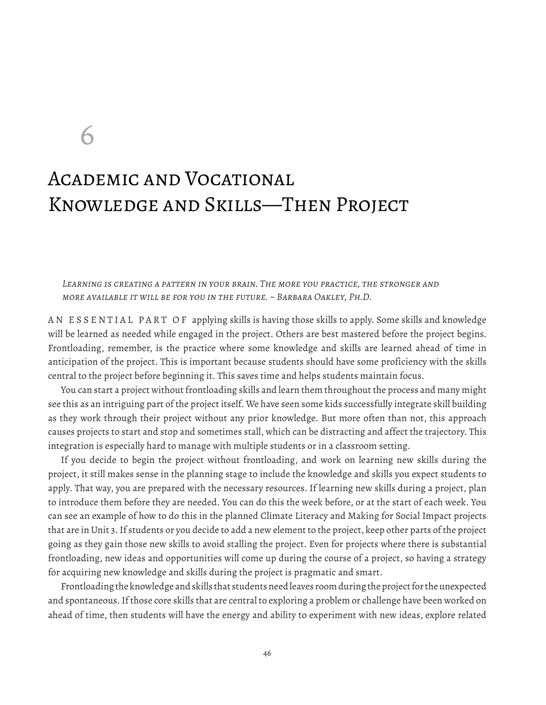6

# Academic and Vocational Knowledge and Skills—Then Project

LEARNING IS CREATING A PATTERN IN YOUR BRAIN. THE MORE YOU PRACTICE, THE STRONGER AND *more available it will be for you in the future. ~ Barbara Oakley, Ph.D.*

AN ESSENTIAL PART OF applying skills is having those skills to apply. Some skills and knowledge will be learned as needed while engaged in the project. Others are best mastered before the project begins. Frontloading, remember, is the practice where some knowledge and skills are learned ahead of time in anticipation of the project. This is important because students should have some proficiency with the skills central to the project before beginning it. This saves time and helps students maintain focus.

You can start a project without frontloading skills and learn them throughout the process and many might see this as an intriguing part of the project itself. We have seen some kids successfully integrate skill building as they work through their project without any prior knowledge. But more often than not, this approach causes projects to start and stop and sometimes stall, which can be distracting and affect the trajectory. This integration is especially hard to manage with multiple students or in a classroom setting.

If you decide to begin the project without frontloading, and work on learning new skills during the project, it still makes sense in the planning stage to include the knowledge and skills you expect students to apply. That way, you are prepared with the necessary resources. If learning new skills during a project, plan to introduce them before they are needed. You can do this the week before, or at the start of each week. You can see an example of how to do this in the planned Climate Literacy and Making for Social Impact projects that are in Unit 3. If students or you decide to add a new element to the project, keep other parts of the project going as they gain those new skills to avoid stalling the project. Even for projects where there is substantial frontloading, new ideas and opportunities will come up during the course of a project, so having a strategy for acquiring new knowledge and skills during the project is pragmatic and smart.

Frontloading the knowledge and skills that students need leaves room during the project for the unexpected and spontaneous. If those core skills that are central to exploring a problem or challenge have been worked on ahead of time, then students will have the energy and ability to experiment with new ideas, explore related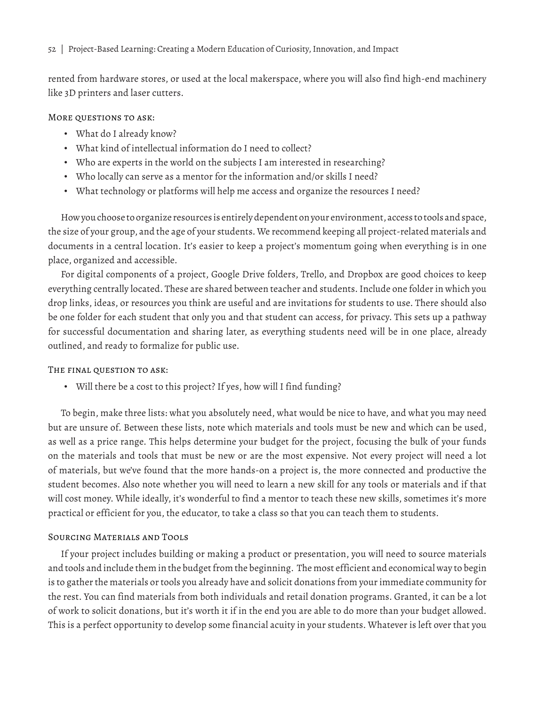#### 52 | Project-Based Learning: Creating a Modern Education of Curiosity, Innovation, and Impact

rented from hardware stores, or used at the local makerspace, where you will also find high-end machinery like 3D printers and laser cutters.

#### More questions to ask:

- What do I already know?
- What kind of intellectual information do I need to collect?
- Who are experts in the world on the subjects I am interested in researching?
- Who locally can serve as a mentor for the information and/or skills I need?
- What technology or platforms will help me access and organize the resources I need?

How you choose to organize resources is entirely dependent on your environment, access to tools and space, the size of your group, and the age of your students. We recommend keeping all project-related materials and documents in a central location. It's easier to keep a project's momentum going when everything is in one place, organized and accessible.

For digital components of a project, Google Drive folders, Trello, and Dropbox are good choices to keep everything centrally located. These are shared between teacher and students. Include one folder in which you drop links, ideas, or resources you think are useful and are invitations for students to use. There should also be one folder for each student that only you and that student can access, for privacy. This sets up a pathway for successful documentation and sharing later, as everything students need will be in one place, already outlined, and ready to formalize for public use.

#### The final question to ask:

• Will there be a cost to this project? If yes, how will I find funding?

To begin, make three lists: what you absolutely need, what would be nice to have, and what you may need but are unsure of. Between these lists, note which materials and tools must be new and which can be used, as well as a price range. This helps determine your budget for the project, focusing the bulk of your funds on the materials and tools that must be new or are the most expensive. Not every project will need a lot of materials, but we've found that the more hands-on a project is, the more connected and productive the student becomes. Also note whether you will need to learn a new skill for any tools or materials and if that will cost money. While ideally, it's wonderful to find a mentor to teach these new skills, sometimes it's more practical or efficient for you, the educator, to take a class so that you can teach them to students.

#### Sourcing Materials and Tools

If your project includes building or making a product or presentation, you will need to source materials and tools and include them in the budget from the beginning. The most efficient and economical way to begin is to gather the materials or tools you already have and solicit donations from your immediate community for the rest. You can find materials from both individuals and retail donation programs. Granted, it can be a lot of work to solicit donations, but it's worth it if in the end you are able to do more than your budget allowed. This is a perfect opportunity to develop some financial acuity in your students. Whatever is left over that you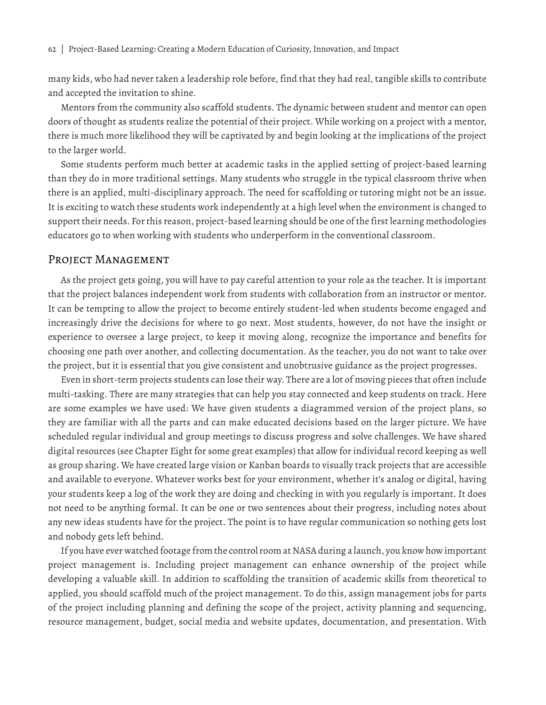many kids, who had never taken a leadership role before, find that they had real, tangible skills to contribute and accepted the invitation to shine.

Mentors from the community also scaffold students. The dynamic between student and mentor can open doors of thought as students realize the potential of their project. While working on a project with a mentor, there is much more likelihood they will be captivated by and begin looking at the implications of the project to the larger world.

Some students perform much better at academic tasks in the applied setting of project-based learning than they do in more traditional settings. Many students who struggle in the typical classroom thrive when there is an applied, multi-disciplinary approach. The need for scaffolding or tutoring might not be an issue. It is exciting to watch these students work independently at a high level when the environment is changed to support their needs. For this reason, project-based learning should be one of the first learning methodologies educators go to when working with students who underperform in the conventional classroom.

#### PROJECT MANAGEMENT

As the project gets going, you will have to pay careful attention to your role as the teacher. It is important that the project balances independent work from students with collaboration from an instructor or mentor. It can be tempting to allow the project to become entirely student-led when students become engaged and increasingly drive the decisions for where to go next. Most students, however, do not have the insight or experience to oversee a large project, to keep it moving along, recognize the importance and benefits for choosing one path over another, and collecting documentation. As the teacher, you do not want to take over the project, but it is essential that you give consistent and unobtrusive guidance as the project progresses.

Even in short-term projects students can lose their way. There are a lot of moving pieces that often include multi-tasking. There are many strategies that can help you stay connected and keep students on track. Here are some examples we have used: We have given students a diagrammed version of the project plans, so they are familiar with all the parts and can make educated decisions based on the larger picture. We have scheduled regular individual and group meetings to discuss progress and solve challenges. We have shared digital resources (see Chapter Eight for some great examples) that allow for individual record keeping as well as group sharing. We have created large vision or Kanban boards to visually track projects that are accessible and available to everyone. Whatever works best for your environment, whether it's analog or digital, having your students keep a log of the work they are doing and checking in with you regularly is important. It does not need to be anything formal. It can be one or two sentences about their progress, including notes about any new ideas students have for the project. The point is to have regular communication so nothing gets lost and nobody gets left behind.

If you have ever watched footage from the control room at NASA during a launch, you know how important project management is. Including project management can enhance ownership of the project while developing a valuable skill. In addition to scaffolding the transition of academic skills from theoretical to applied, you should scaffold much of the project management. To do this, assign management jobs for parts of the project including planning and defining the scope of the project, activity planning and sequencing, resource management, budget, social media and website updates, documentation, and presentation. With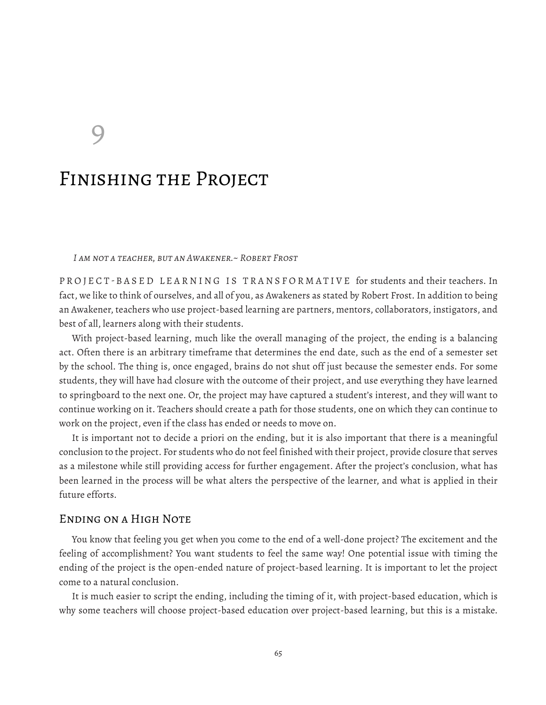9

# Finishing the Project

*I am not a teacher, but an Awakener.~ Robert Frost*

PROJECT-BASED LEARNING IS TRANSFORMATIVE for students and their teachers. In fact, we like to think of ourselves, and all of you, as Awakeners as stated by Robert Frost. In addition to being an Awakener, teachers who use project-based learning are partners, mentors, collaborators, instigators, and best of all, learners along with their students.

With project-based learning, much like the overall managing of the project, the ending is a balancing act. Often there is an arbitrary timeframe that determines the end date, such as the end of a semester set by the school. The thing is, once engaged, brains do not shut off just because the semester ends. For some students, they will have had closure with the outcome of their project, and use everything they have learned to springboard to the next one. Or, the project may have captured a student's interest, and they will want to continue working on it. Teachers should create a path for those students, one on which they can continue to work on the project, even if the class has ended or needs to move on.

It is important not to decide a priori on the ending, but it is also important that there is a meaningful conclusion to the project. For students who do not feel finished with their project, provide closure that serves as a milestone while still providing access for further engagement. After the project's conclusion, what has been learned in the process will be what alters the perspective of the learner, and what is applied in their future efforts.

#### Ending on a High Note

You know that feeling you get when you come to the end of a well-done project? The excitement and the feeling of accomplishment? You want students to feel the same way! One potential issue with timing the ending of the project is the open-ended nature of project-based learning. It is important to let the project come to a natural conclusion.

It is much easier to script the ending, including the timing of it, with project-based education, which is why some teachers will choose project-based education over project-based learning, but this is a mistake.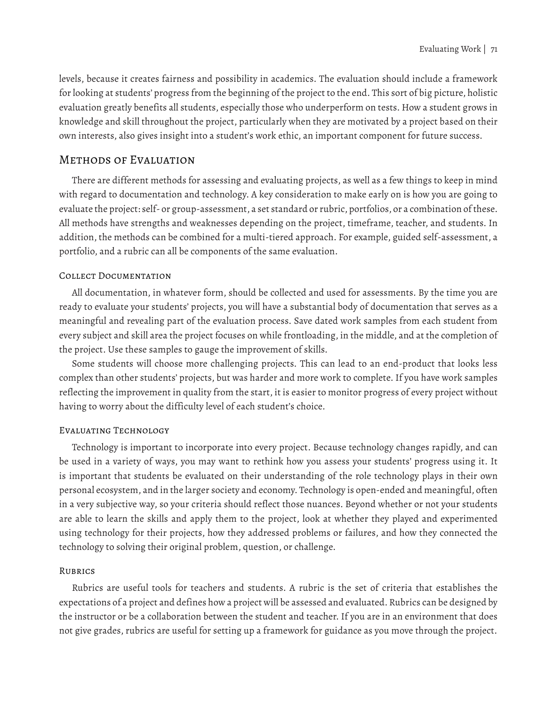levels, because it creates fairness and possibility in academics. The evaluation should include a framework for looking at students' progress from the beginning of the project to the end. This sort of big picture, holistic evaluation greatly benefits all students, especially those who underperform on tests. How a student grows in knowledge and skill throughout the project, particularly when they are motivated by a project based on their own interests, also gives insight into a student's work ethic, an important component for future success.

#### Methods of Evaluation

There are different methods for assessing and evaluating projects, as well as a few things to keep in mind with regard to documentation and technology. A key consideration to make early on is how you are going to evaluate the project: self- or group-assessment, a set standard or rubric, portfolios, or a combination of these. All methods have strengths and weaknesses depending on the project, timeframe, teacher, and students. In addition, the methods can be combined for a multi-tiered approach. For example, guided self-assessment, a portfolio, and a rubric can all be components of the same evaluation.

#### Collect Documentation

All documentation, in whatever form, should be collected and used for assessments. By the time you are ready to evaluate your students' projects, you will have a substantial body of documentation that serves as a meaningful and revealing part of the evaluation process. Save dated work samples from each student from every subject and skill area the project focuses on while frontloading, in the middle, and at the completion of the project. Use these samples to gauge the improvement of skills.

Some students will choose more challenging projects. This can lead to an end-product that looks less complex than other students' projects, but was harder and more work to complete. If you have work samples reflecting the improvement in quality from the start, it is easier to monitor progress of every project without having to worry about the difficulty level of each student's choice.

#### Evaluating Technology

Technology is important to incorporate into every project. Because technology changes rapidly, and can be used in a variety of ways, you may want to rethink how you assess your students' progress using it. It is important that students be evaluated on their understanding of the role technology plays in their own personal ecosystem, and in the larger society and economy. Technology is open-ended and meaningful, often in a very subjective way, so your criteria should reflect those nuances. Beyond whether or not your students are able to learn the skills and apply them to the project, look at whether they played and experimented using technology for their projects, how they addressed problems or failures, and how they connected the technology to solving their original problem, question, or challenge.

#### **RUBRICS**

Rubrics are useful tools for teachers and students. A rubric is the set of criteria that establishes the expectations of a project and defines how a project will be assessed and evaluated. Rubrics can be designed by the instructor or be a collaboration between the student and teacher. If you are in an environment that does not give grades, rubrics are useful for setting up a framework for guidance as you move through the project.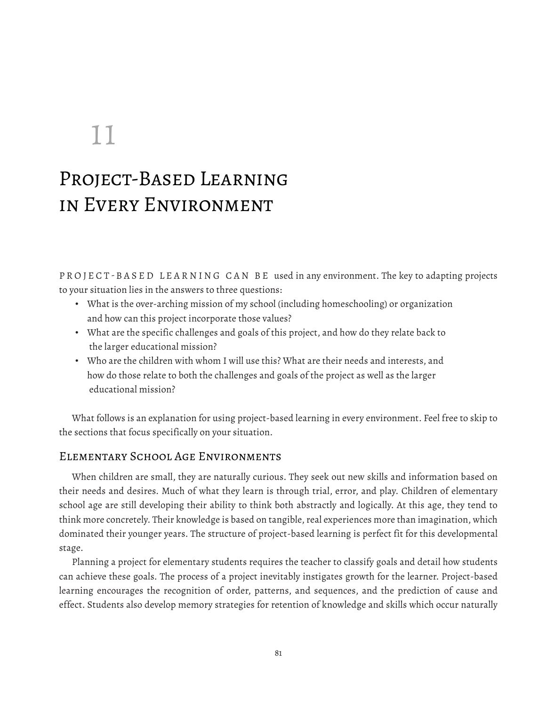# 11

# Project-Based Learning in Every Environment

PROJECT-BASED LEARNING CAN BE used in any environment. The key to adapting projects to your situation lies in the answers to three questions:

- What is the over-arching mission of my school (including homeschooling) or organization and how can this project incorporate those values?
- What are the specific challenges and goals of this project, and how do they relate back to the larger educational mission?
- Who are the children with whom I will use this? What are their needs and interests, and how do those relate to both the challenges and goals of the project as well as the larger educational mission?

What follows is an explanation for using project-based learning in every environment. Feel free to skip to the sections that focus specifically on your situation.

### Elementary School Age Environments

When children are small, they are naturally curious. They seek out new skills and information based on their needs and desires. Much of what they learn is through trial, error, and play. Children of elementary school age are still developing their ability to think both abstractly and logically. At this age, they tend to think more concretely. Their knowledge is based on tangible, real experiences more than imagination, which dominated their younger years. The structure of project-based learning is perfect fit for this developmental stage.

Planning a project for elementary students requires the teacher to classify goals and detail how students can achieve these goals. The process of a project inevitably instigates growth for the learner. Project-based learning encourages the recognition of order, patterns, and sequences, and the prediction of cause and effect. Students also develop memory strategies for retention of knowledge and skills which occur naturally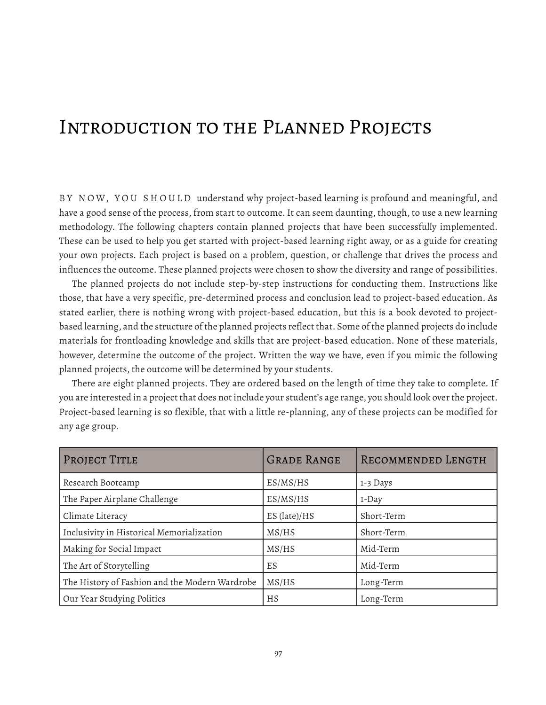# Introduction to the Planned Projects

B Y N OW, YO U S H O U LD understand why project-based learning is profound and meaningful, and have a good sense of the process, from start to outcome. It can seem daunting, though, to use a new learning methodology. The following chapters contain planned projects that have been successfully implemented. These can be used to help you get started with project-based learning right away, or as a guide for creating your own projects. Each project is based on a problem, question, or challenge that drives the process and influences the outcome. These planned projects were chosen to show the diversity and range of possibilities.

The planned projects do not include step-by-step instructions for conducting them. Instructions like those, that have a very specific, pre-determined process and conclusion lead to project-based education. As stated earlier, there is nothing wrong with project-based education, but this is a book devoted to projectbased learning, and the structure of the planned projects reflect that. Some of the planned projects do include materials for frontloading knowledge and skills that are project-based education. None of these materials, however, determine the outcome of the project. Written the way we have, even if you mimic the following planned projects, the outcome will be determined by your students.

There are eight planned projects. They are ordered based on the length of time they take to complete. If you are interested in a project that does not include your student's age range, you should look over the project. Project-based learning is so flexible, that with a little re-planning, any of these projects can be modified for any age group.

| PROJECT TITLE                                  | <b>GRADE RANGE</b> | RECOMMENDED LENGTH |
|------------------------------------------------|--------------------|--------------------|
| Research Bootcamp                              | ES/MS/HS           | 1-3 Days           |
| The Paper Airplane Challenge                   | ES/MS/HS           | 1-Day              |
| Climate Literacy                               | ES (late)/HS       | Short-Term         |
| Inclusivity in Historical Memorialization      | MS/HS              | Short-Term         |
| Making for Social Impact                       | MS/HS              | Mid-Term           |
| The Art of Storytelling                        | ES                 | Mid-Term           |
| The History of Fashion and the Modern Wardrobe | MS/HS              | Long-Term          |
| Our Year Studying Politics                     | HS                 | Long-Term          |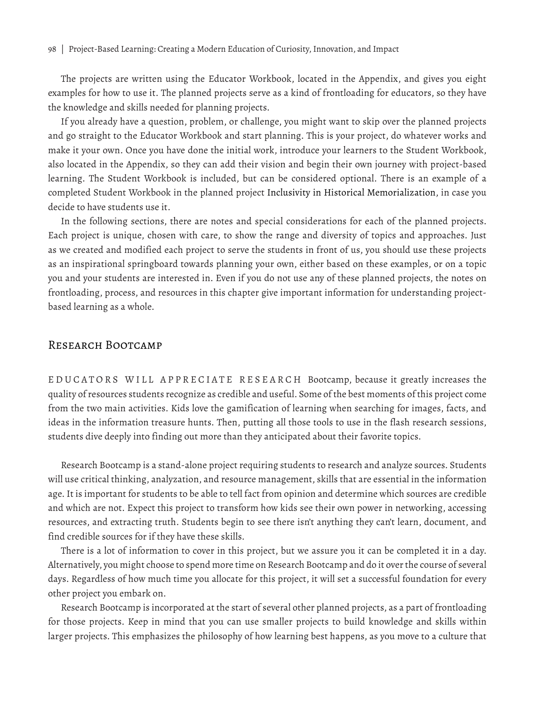The projects are written using the Educator Workbook, located in the Appendix, and gives you eight examples for how to use it. The planned projects serve as a kind of frontloading for educators, so they have the knowledge and skills needed for planning projects.

If you already have a question, problem, or challenge, you might want to skip over the planned projects and go straight to the Educator Workbook and start planning. This is your project, do whatever works and make it your own. Once you have done the initial work, introduce your learners to the Student Workbook, also located in the Appendix, so they can add their vision and begin their own journey with project-based learning. The Student Workbook is included, but can be considered optional. There is an example of a completed Student Workbook in the planned project Inclusivity in Historical Memorialization, in case you decide to have students use it.

In the following sections, there are notes and special considerations for each of the planned projects. Each project is unique, chosen with care, to show the range and diversity of topics and approaches. Just as we created and modified each project to serve the students in front of us, you should use these projects as an inspirational springboard towards planning your own, either based on these examples, or on a topic you and your students are interested in. Even if you do not use any of these planned projects, the notes on frontloading, process, and resources in this chapter give important information for understanding projectbased learning as a whole.

#### Research Bootcamp

EDUCATORS WILL APPRECIATE RESEARCH Bootcamp, because it greatly increases the quality of resources students recognize as credible and useful. Some of the best moments of this project come from the two main activities. Kids love the gamification of learning when searching for images, facts, and ideas in the information treasure hunts. Then, putting all those tools to use in the flash research sessions, students dive deeply into finding out more than they anticipated about their favorite topics.

Research Bootcamp is a stand-alone project requiring students to research and analyze sources. Students will use critical thinking, analyzation, and resource management, skills that are essential in the information age. It is important for students to be able to tell fact from opinion and determine which sources are credible and which are not. Expect this project to transform how kids see their own power in networking, accessing resources, and extracting truth. Students begin to see there isn't anything they can't learn, document, and find credible sources for if they have these skills.

There is a lot of information to cover in this project, but we assure you it can be completed it in a day. Alternatively, you might choose to spend more time on Research Bootcamp and do it over the course of several days. Regardless of how much time you allocate for this project, it will set a successful foundation for every other project you embark on.

Research Bootcamp is incorporated at the start of several other planned projects, as a part of frontloading for those projects. Keep in mind that you can use smaller projects to build knowledge and skills within larger projects. This emphasizes the philosophy of how learning best happens, as you move to a culture that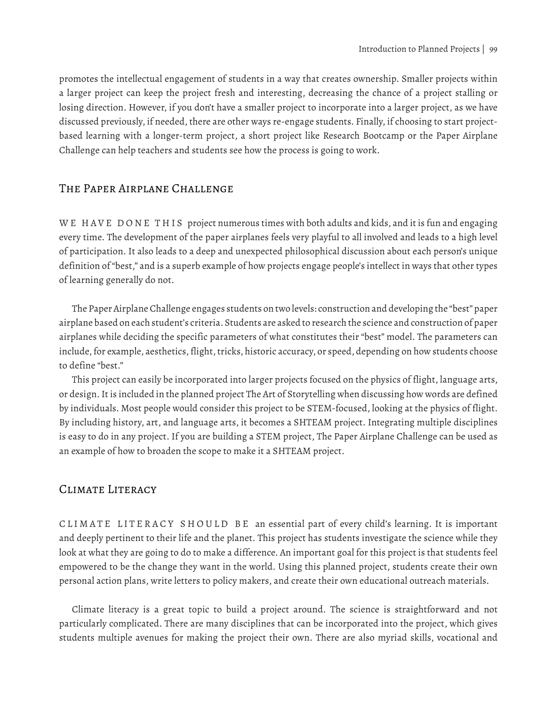promotes the intellectual engagement of students in a way that creates ownership. Smaller projects within a larger project can keep the project fresh and interesting, decreasing the chance of a project stalling or losing direction. However, if you don't have a smaller project to incorporate into a larger project, as we have discussed previously, if needed, there are other ways re-engage students. Finally, if choosing to start projectbased learning with a longer-term project, a short project like Research Bootcamp or the Paper Airplane Challenge can help teachers and students see how the process is going to work.

#### The Paper Airplane Challenge

WE HAVE DONE THIS project numerous times with both adults and kids, and it is fun and engaging every time. The development of the paper airplanes feels very playful to all involved and leads to a high level of participation. It also leads to a deep and unexpected philosophical discussion about each person's unique definition of "best," and is a superb example of how projects engage people's intellect in ways that other types of learning generally do not.

The Paper Airplane Challenge engages students on two levels: construction and developing the "best" paper airplane based on each student's criteria. Students are asked to research the science and construction of paper airplanes while deciding the specific parameters of what constitutes their "best" model. The parameters can include, for example, aesthetics, flight, tricks, historic accuracy, or speed, depending on how students choose to define "best."

This project can easily be incorporated into larger projects focused on the physics of flight, language arts, or design. It is included in the planned project The Art of Storytelling when discussing how words are defined by individuals. Most people would consider this project to be STEM-focused, looking at the physics of flight. By including history, art, and language arts, it becomes a SHTEAM project. Integrating multiple disciplines is easy to do in any project. If you are building a STEM project, The Paper Airplane Challenge can be used as an example of how to broaden the scope to make it a SHTEAM project.

### Climate Literacy

CLIMATE LITERACY SHOULD BE an essential part of every child's learning. It is important and deeply pertinent to their life and the planet. This project has students investigate the science while they look at what they are going to do to make a difference. An important goal for this project is that students feel empowered to be the change they want in the world. Using this planned project, students create their own personal action plans, write letters to policy makers, and create their own educational outreach materials.

Climate literacy is a great topic to build a project around. The science is straightforward and not particularly complicated. There are many disciplines that can be incorporated into the project, which gives students multiple avenues for making the project their own. There are also myriad skills, vocational and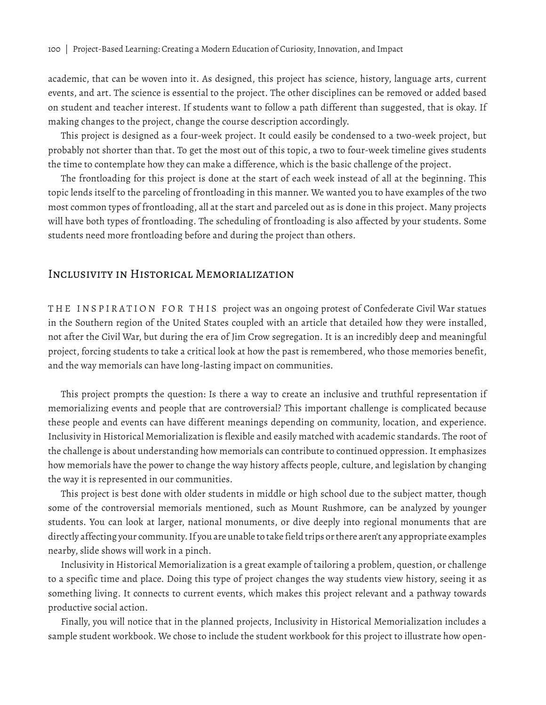academic, that can be woven into it. As designed, this project has science, history, language arts, current events, and art. The science is essential to the project. The other disciplines can be removed or added based on student and teacher interest. If students want to follow a path different than suggested, that is okay. If making changes to the project, change the course description accordingly.

This project is designed as a four-week project. It could easily be condensed to a two-week project, but probably not shorter than that. To get the most out of this topic, a two to four-week timeline gives students the time to contemplate how they can make a difference, which is the basic challenge of the project.

The frontloading for this project is done at the start of each week instead of all at the beginning. This topic lends itself to the parceling of frontloading in this manner. We wanted you to have examples of the two most common types of frontloading, all at the start and parceled out as is done in this project. Many projects will have both types of frontloading. The scheduling of frontloading is also affected by your students. Some students need more frontloading before and during the project than others.

## Inclusivity in Historical Memorialization

THE INSPIRATION FOR THIS project was an ongoing protest of Confederate Civil War statues in the Southern region of the United States coupled with an article that detailed how they were installed, not after the Civil War, but during the era of Jim Crow segregation. It is an incredibly deep and meaningful project, forcing students to take a critical look at how the past is remembered, who those memories benefit, and the way memorials can have long-lasting impact on communities.

This project prompts the question: Is there a way to create an inclusive and truthful representation if memorializing events and people that are controversial? This important challenge is complicated because these people and events can have different meanings depending on community, location, and experience. Inclusivity in Historical Memorialization is flexible and easily matched with academic standards. The root of the challenge is about understanding how memorials can contribute to continued oppression. It emphasizes how memorials have the power to change the way history affects people, culture, and legislation by changing the way it is represented in our communities.

This project is best done with older students in middle or high school due to the subject matter, though some of the controversial memorials mentioned, such as Mount Rushmore, can be analyzed by younger students. You can look at larger, national monuments, or dive deeply into regional monuments that are directly affecting your community. If you are unable to take field trips or there aren't any appropriate examples nearby, slide shows will work in a pinch.

Inclusivity in Historical Memorialization is a great example of tailoring a problem, question, or challenge to a specific time and place. Doing this type of project changes the way students view history, seeing it as something living. It connects to current events, which makes this project relevant and a pathway towards productive social action.

Finally, you will notice that in the planned projects, Inclusivity in Historical Memorialization includes a sample student workbook. We chose to include the student workbook for this project to illustrate how open-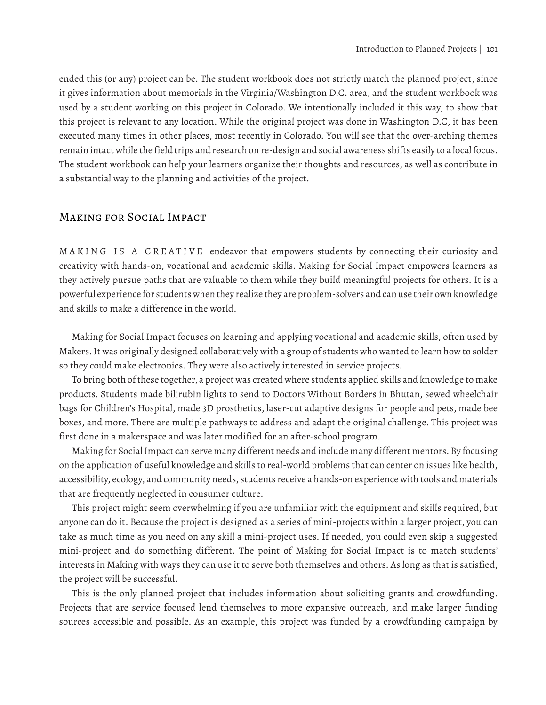ended this (or any) project can be. The student workbook does not strictly match the planned project, since it gives information about memorials in the Virginia/Washington D.C. area, and the student workbook was used by a student working on this project in Colorado. We intentionally included it this way, to show that this project is relevant to any location. While the original project was done in Washington D.C, it has been executed many times in other places, most recently in Colorado. You will see that the over-arching themes remain intact while the field trips and research on re-design and social awareness shifts easily to a local focus. The student workbook can help your learners organize their thoughts and resources, as well as contribute in a substantial way to the planning and activities of the project.

### Making for Social Impact

MAKING IS A CREATIVE endeavor that empowers students by connecting their curiosity and creativity with hands-on, vocational and academic skills. Making for Social Impact empowers learners as they actively pursue paths that are valuable to them while they build meaningful projects for others. It is a powerful experience for students when they realize they are problem-solvers and can use their own knowledge and skills to make a difference in the world.

Making for Social Impact focuses on learning and applying vocational and academic skills, often used by Makers. It was originally designed collaboratively with a group of students who wanted to learn how to solder so they could make electronics. They were also actively interested in service projects.

To bring both of these together, a project was created where students applied skills and knowledge to make products. Students made bilirubin lights to send to Doctors Without Borders in Bhutan, sewed wheelchair bags for Children's Hospital, made 3D prosthetics, laser-cut adaptive designs for people and pets, made bee boxes, and more. There are multiple pathways to address and adapt the original challenge. This project was first done in a makerspace and was later modified for an after-school program.

Making for Social Impact can serve many different needs and include many different mentors. By focusing on the application of useful knowledge and skills to real-world problems that can center on issues like health, accessibility, ecology, and community needs, students receive a hands-on experience with tools and materials that are frequently neglected in consumer culture.

This project might seem overwhelming if you are unfamiliar with the equipment and skills required, but anyone can do it. Because the project is designed as a series of mini-projects within a larger project, you can take as much time as you need on any skill a mini-project uses. If needed, you could even skip a suggested mini-project and do something different. The point of Making for Social Impact is to match students' interests in Making with ways they can use it to serve both themselves and others. As long as that is satisfied, the project will be successful.

This is the only planned project that includes information about soliciting grants and crowdfunding. Projects that are service focused lend themselves to more expansive outreach, and make larger funding sources accessible and possible. As an example, this project was funded by a crowdfunding campaign by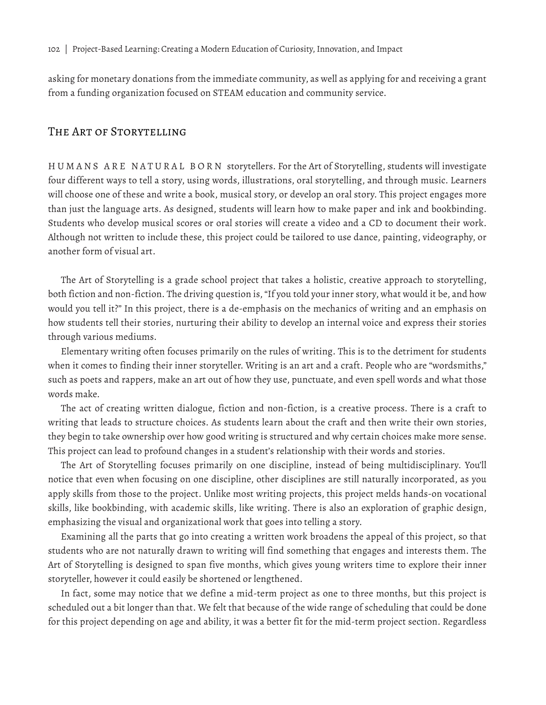asking for monetary donations from the immediate community, as well as applying for and receiving a grant from a funding organization focused on STEAM education and community service.

#### The Art of Storytelling

HUMANS ARE NATURAL BORN storytellers. For the Art of Storytelling, students will investigate four different ways to tell a story, using words, illustrations, oral storytelling, and through music. Learners will choose one of these and write a book, musical story, or develop an oral story. This project engages more than just the language arts. As designed, students will learn how to make paper and ink and bookbinding. Students who develop musical scores or oral stories will create a video and a CD to document their work. Although not written to include these, this project could be tailored to use dance, painting, videography, or another form of visual art.

The Art of Storytelling is a grade school project that takes a holistic, creative approach to storytelling, both fiction and non-fiction. The driving question is, "If you told your inner story, what would it be, and how would you tell it?" In this project, there is a de-emphasis on the mechanics of writing and an emphasis on how students tell their stories, nurturing their ability to develop an internal voice and express their stories through various mediums.

Elementary writing often focuses primarily on the rules of writing. This is to the detriment for students when it comes to finding their inner storyteller. Writing is an art and a craft. People who are "wordsmiths," such as poets and rappers, make an art out of how they use, punctuate, and even spell words and what those words make.

The act of creating written dialogue, fiction and non-fiction, is a creative process. There is a craft to writing that leads to structure choices. As students learn about the craft and then write their own stories, they begin to take ownership over how good writing is structured and why certain choices make more sense. This project can lead to profound changes in a student's relationship with their words and stories.

The Art of Storytelling focuses primarily on one discipline, instead of being multidisciplinary. You'll notice that even when focusing on one discipline, other disciplines are still naturally incorporated, as you apply skills from those to the project. Unlike most writing projects, this project melds hands-on vocational skills, like bookbinding, with academic skills, like writing. There is also an exploration of graphic design, emphasizing the visual and organizational work that goes into telling a story.

Examining all the parts that go into creating a written work broadens the appeal of this project, so that students who are not naturally drawn to writing will find something that engages and interests them. The Art of Storytelling is designed to span five months, which gives young writers time to explore their inner storyteller, however it could easily be shortened or lengthened.

In fact, some may notice that we define a mid-term project as one to three months, but this project is scheduled out a bit longer than that. We felt that because of the wide range of scheduling that could be done for this project depending on age and ability, it was a better fit for the mid-term project section. Regardless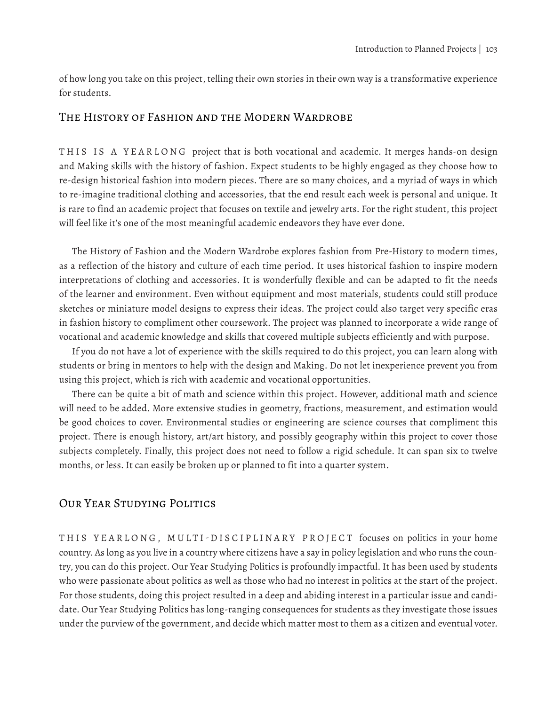of how long you take on this project, telling their own stories in their own way is a transformative experience for students.

## The History of Fashion and the Modern Wardrobe

THIS IS A YEARLONG project that is both vocational and academic. It merges hands-on design and Making skills with the history of fashion. Expect students to be highly engaged as they choose how to re-design historical fashion into modern pieces. There are so many choices, and a myriad of ways in which to re-imagine traditional clothing and accessories, that the end result each week is personal and unique. It is rare to find an academic project that focuses on textile and jewelry arts. For the right student, this project will feel like it's one of the most meaningful academic endeavors they have ever done.

The History of Fashion and the Modern Wardrobe explores fashion from Pre-History to modern times, as a reflection of the history and culture of each time period. It uses historical fashion to inspire modern interpretations of clothing and accessories. It is wonderfully flexible and can be adapted to fit the needs of the learner and environment. Even without equipment and most materials, students could still produce sketches or miniature model designs to express their ideas. The project could also target very specific eras in fashion history to compliment other coursework. The project was planned to incorporate a wide range of vocational and academic knowledge and skills that covered multiple subjects efficiently and with purpose.

If you do not have a lot of experience with the skills required to do this project, you can learn along with students or bring in mentors to help with the design and Making. Do not let inexperience prevent you from using this project, which is rich with academic and vocational opportunities.

There can be quite a bit of math and science within this project. However, additional math and science will need to be added. More extensive studies in geometry, fractions, measurement, and estimation would be good choices to cover. Environmental studies or engineering are science courses that compliment this project. There is enough history, art/art history, and possibly geography within this project to cover those subjects completely. Finally, this project does not need to follow a rigid schedule. It can span six to twelve months, or less. It can easily be broken up or planned to fit into a quarter system.

#### Our Year Studying Politics

THIS YEARLONG, MULTI-DISCIPLINARY PROJECT focuses on politics in your home country. As long as you live in a country where citizens have a say in policy legislation and who runs the country, you can do this project. Our Year Studying Politics is profoundly impactful. It has been used by students who were passionate about politics as well as those who had no interest in politics at the start of the project. For those students, doing this project resulted in a deep and abiding interest in a particular issue and candidate. Our Year Studying Politics has long-ranging consequences for students as they investigate those issues under the purview of the government, and decide which matter most to them as a citizen and eventual voter.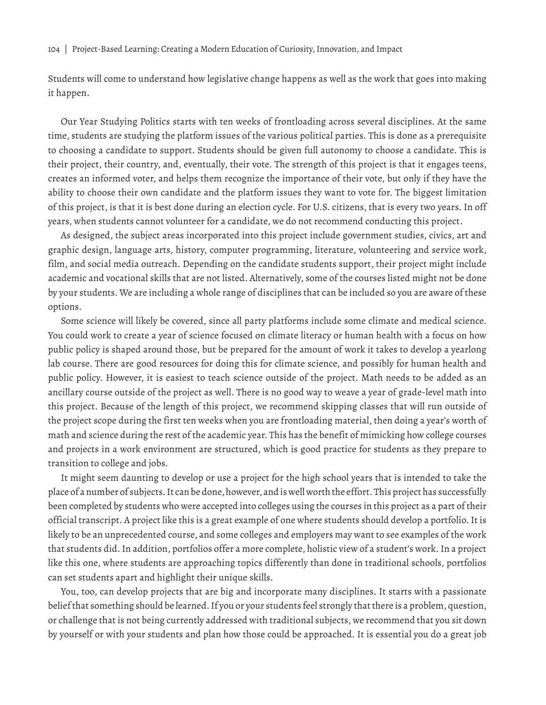104 | Project-Based Learning: Creating a Modern Education of Curiosity, Innovation, and Impact

Students will come to understand how legislative change happens as well as the work that goes into making it happen.

Our Year Studying Politics starts with ten weeks of frontloading across several disciplines. At the same time, students are studying the platform issues of the various political parties. This is done as a prerequisite to choosing a candidate to support. Students should be given full autonomy to choose a candidate. This is their project, their country, and, eventually, their vote. The strength of this project is that it engages teens, creates an informed voter, and helps them recognize the importance of their vote, but only if they have the ability to choose their own candidate and the platform issues they want to vote for. The biggest limitation of this project, is that it is best done during an election cycle. For U.S. citizens, that is every two years. In off years, when students cannot volunteer for a candidate, we do not recommend conducting this project.

As designed, the subject areas incorporated into this project include government studies, civics, art and graphic design, language arts, history, computer programming, literature, volunteering and service work, film, and social media outreach. Depending on the candidate students support, their project might include academic and vocational skills that are not listed. Alternatively, some of the courses listed might not be done by your students. We are including a whole range of disciplines that can be included so you are aware of these options.

Some science will likely be covered, since all party platforms include some climate and medical science. You could work to create a year of science focused on climate literacy or human health with a focus on how public policy is shaped around those, but be prepared for the amount of work it takes to develop a yearlong lab course. There are good resources for doing this for climate science, and possibly for human health and public policy. However, it is easiest to teach science outside of the project. Math needs to be added as an ancillary course outside of the project as well. There is no good way to weave a year of grade-level math into this project. Because of the length of this project, we recommend skipping classes that will run outside of the project scope during the first ten weeks when you are frontloading material, then doing a year's worth of math and science during the rest of the academic year. This has the benefit of mimicking how college courses and projects in a work environment are structured, which is good practice for students as they prepare to transition to college and jobs.

It might seem daunting to develop or use a project for the high school years that is intended to take the place of a number of subjects. It can be done, however, and is well worth the effort. This project has successfully been completed by students who were accepted into colleges using the courses in this project as a part of their official transcript. A project like this is a great example of one where students should develop a portfolio. It is likely to be an unprecedented course, and some colleges and employers may want to see examples of the work that students did. In addition, portfolios offer a more complete, holistic view of a student's work. In a project like this one, where students are approaching topics differently than done in traditional schools, portfolios can set students apart and highlight their unique skills.

You, too, can develop projects that are big and incorporate many disciplines. It starts with a passionate belief that something should be learned. If you or your students feel strongly that there is a problem, question, or challenge that is not being currently addressed with traditional subjects, we recommend that you sit down by yourself or with your students and plan how those could be approached. It is essential you do a great job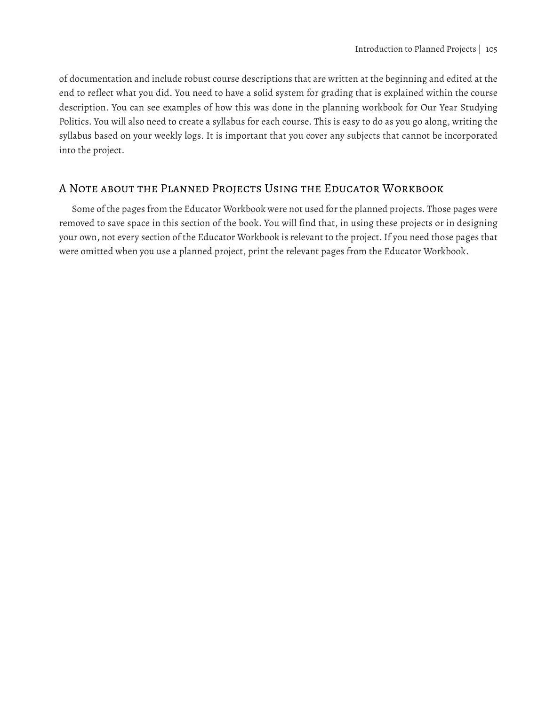of documentation and include robust course descriptions that are written at the beginning and edited at the end to reflect what you did. You need to have a solid system for grading that is explained within the course description. You can see examples of how this was done in the planning workbook for Our Year Studying Politics. You will also need to create a syllabus for each course. This is easy to do as you go along, writing the syllabus based on your weekly logs. It is important that you cover any subjects that cannot be incorporated into the project.

# A Note about the Planned Projects Using the Educator Workbook

Some of the pages from the Educator Workbook were not used for the planned projects. Those pages were removed to save space in this section of the book. You will find that, in using these projects or in designing your own, not every section of the Educator Workbook is relevant to the project. If you need those pages that were omitted when you use a planned project, print the relevant pages from the Educator Workbook.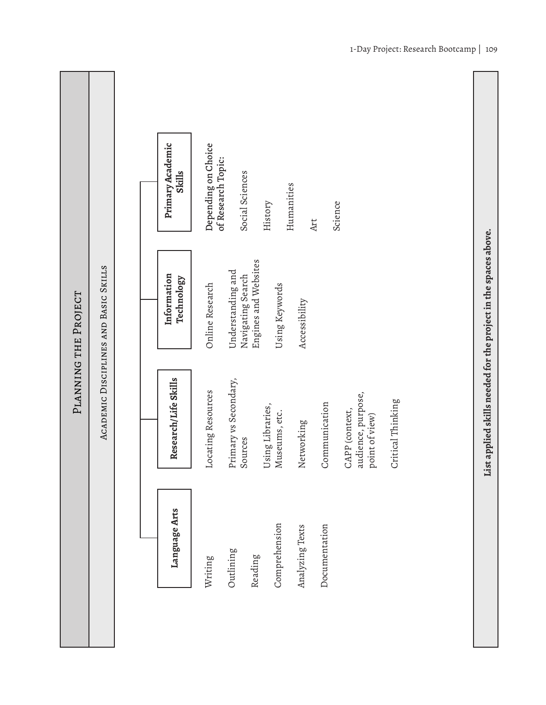|                      |                                       | Primary Academic<br>Depending on Choice<br>of Research Topic:<br><b>Skills</b><br>Social Sciences<br>Humanities<br>Science<br>History<br>Art                                                                                      |  |
|----------------------|---------------------------------------|-----------------------------------------------------------------------------------------------------------------------------------------------------------------------------------------------------------------------------------|--|
| PLANNING THE PROJECT | ACADEMIC DISCIPLINES AND BASIC SKILLS | Engines and Websites<br>Understanding and<br>Information<br>Navigating Search<br>Technology<br>Online Research<br>Using Keywords<br>Accessibility                                                                                 |  |
|                      |                                       | Research/Life Skills<br>Primary vs Secondary,<br>Locating Resources<br>audience, purpose,<br>Critical Thinking<br>Communication<br>Using Libraries,<br>CAPP (context,<br>Museums, etc.<br>point of view)<br>Networking<br>Sources |  |
|                      |                                       | Language Arts<br>Comprehension<br>Documentation<br>Analyzing Texts<br>Outlining<br>Reading<br>Writing                                                                                                                             |  |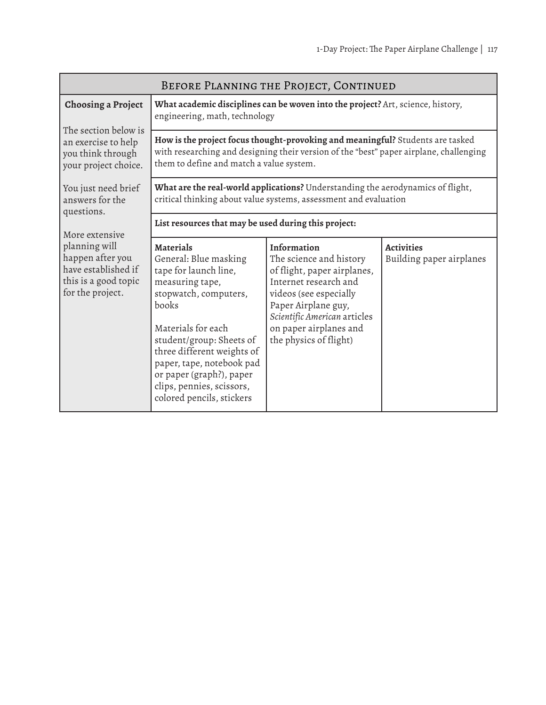| BEFORE PLANNING THE PROJECT, CONTINUED                                                               |                                                                                                                                                                                                                                                                                                                            |                                                                                                                                                                                                                                     |                                               |
|------------------------------------------------------------------------------------------------------|----------------------------------------------------------------------------------------------------------------------------------------------------------------------------------------------------------------------------------------------------------------------------------------------------------------------------|-------------------------------------------------------------------------------------------------------------------------------------------------------------------------------------------------------------------------------------|-----------------------------------------------|
| <b>Choosing a Project</b>                                                                            | engineering, math, technology                                                                                                                                                                                                                                                                                              | What academic disciplines can be woven into the project? Art, science, history,                                                                                                                                                     |                                               |
| The section below is<br>an exercise to help<br>you think through<br>your project choice.             | How is the project focus thought-provoking and meaningful? Students are tasked<br>with researching and designing their version of the "best" paper airplane, challenging<br>them to define and match a value system.                                                                                                       |                                                                                                                                                                                                                                     |                                               |
| You just need brief<br>answers for the<br>questions.                                                 | What are the real-world applications? Understanding the aerodynamics of flight,<br>critical thinking about value systems, assessment and evaluation                                                                                                                                                                        |                                                                                                                                                                                                                                     |                                               |
| More extensive                                                                                       | List resources that may be used during this project:                                                                                                                                                                                                                                                                       |                                                                                                                                                                                                                                     |                                               |
| planning will<br>happen after you<br>have established if<br>this is a good topic<br>for the project. | <b>Materials</b><br>General: Blue masking<br>tape for launch line,<br>measuring tape,<br>stopwatch, computers,<br>books<br>Materials for each<br>student/group: Sheets of<br>three different weights of<br>paper, tape, notebook pad<br>or paper (graph?), paper<br>clips, pennies, scissors,<br>colored pencils, stickers | Information<br>The science and history<br>of flight, paper airplanes,<br>Internet research and<br>videos (see especially<br>Paper Airplane guy,<br>Scientific American articles<br>on paper airplanes and<br>the physics of flight) | <b>Activities</b><br>Building paper airplanes |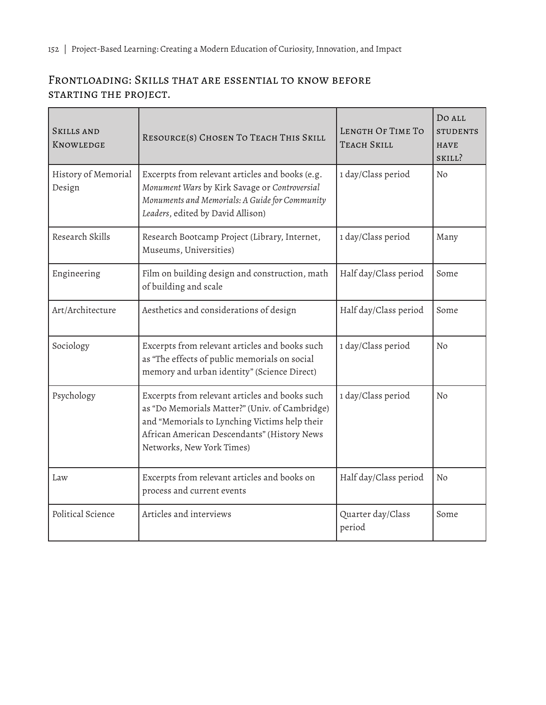# Frontloading: Skills that are essential to know before starting the project.

| <b>SKILLS AND</b><br>KNOWLEDGE | RESOURCE(S) CHOSEN TO TEACH THIS SKILL                                                                                                                                                                                        | LENGTH OF TIME TO<br><b>TEACH SKILL</b> | Do all<br><b>STUDENTS</b><br><b>HAVE</b><br>SKILL? |
|--------------------------------|-------------------------------------------------------------------------------------------------------------------------------------------------------------------------------------------------------------------------------|-----------------------------------------|----------------------------------------------------|
| History of Memorial<br>Design  | Excerpts from relevant articles and books (e.g.<br>Monument Wars by Kirk Savage or Controversial<br>Monuments and Memorials: A Guide for Community<br>Leaders, edited by David Allison)                                       | 1 day/Class period                      | No                                                 |
| Research Skills                | Research Bootcamp Project (Library, Internet,<br>Museums, Universities)                                                                                                                                                       | 1 day/Class period                      | Many                                               |
| Engineering                    | Film on building design and construction, math<br>of building and scale                                                                                                                                                       | Half day/Class period                   | Some                                               |
| Art/Architecture               | Aesthetics and considerations of design                                                                                                                                                                                       | Half day/Class period                   | Some                                               |
| Sociology                      | Excerpts from relevant articles and books such<br>as "The effects of public memorials on social<br>memory and urban identity" (Science Direct)                                                                                | 1 day/Class period                      | No                                                 |
| Psychology                     | Excerpts from relevant articles and books such<br>as "Do Memorials Matter?" (Univ. of Cambridge)<br>and "Memorials to Lynching Victims help their<br>African American Descendants" (History News<br>Networks, New York Times) | 1 day/Class period                      | No                                                 |
| Law                            | Excerpts from relevant articles and books on<br>process and current events                                                                                                                                                    | Half day/Class period                   | No                                                 |
| Political Science              | Articles and interviews                                                                                                                                                                                                       | Quarter day/Class<br>period             | Some                                               |